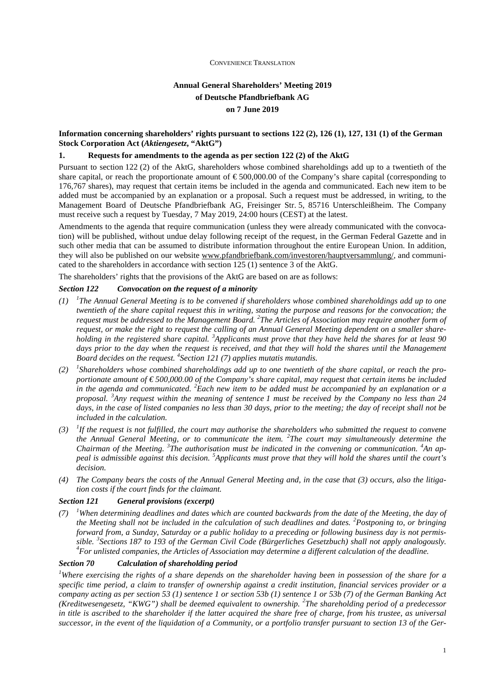# **Annual General Shareholders' Meeting 2019 of Deutsche Pfandbriefbank AG on 7 June 2019**

## **Information concerning shareholders' rights pursuant to sections 122 (2), 126 (1), 127, 131 (1) of the German Stock Corporation Act (***Aktiengesetz***, "AktG")**

## **1. Requests for amendments to the agenda as per section 122 (2) of the AktG**

Pursuant to section 122 (2) of the AktG, shareholders whose combined shareholdings add up to a twentieth of the share capital, or reach the proportionate amount of  $\epsilon$  500,000.00 of the Company's share capital (corresponding to 176,767 shares), may request that certain items be included in the agenda and communicated. Each new item to be added must be accompanied by an explanation or a proposal. Such a request must be addressed, in writing, to the Management Board of Deutsche Pfandbriefbank AG, Freisinger Str. 5, 85716 Unterschleißheim. The Company must receive such a request by Tuesday, 7 May 2019, 24:00 hours (CEST) at the latest.

Amendments to the agenda that require communication (unless they were already communicated with the convocation) will be published, without undue delay following receipt of the request, in the German Federal Gazette and in such other media that can be assumed to distribute information throughout the entire European Union. In addition, they will also be published on our website www.pfandbriefbank.com/investoren/hauptversammlung/, and communicated to the shareholders in accordance with section 125 (1) sentence 3 of the AktG.

The shareholders' rights that the provisions of the AktG are based on are as follows:

## *Section 122 Convocation on the request of a minority*

- *(1) <sup>1</sup> The Annual General Meeting is to be convened if shareholders whose combined shareholdings add up to one twentieth of the share capital request this in writing, stating the purpose and reasons for the convocation; the request must be addressed to the Management Board. <sup>2</sup> The Articles of Association may require another form of request, or make the right to request the calling of an Annual General Meeting dependent on a smaller shareholding in the registered share capital. <sup>3</sup>Applicants must prove that they have held the shares for at least 90*  days prior to the day when the request is received, and that they will hold the shares until the Management *Board decides on the request. <sup>4</sup> Section 121 (7) applies mutatis mutandis.*
- *(2) <sup>1</sup> Shareholders whose combined shareholdings add up to one twentieth of the share capital, or reach the proportionate amount of € 500,000.00 of the Company's share capital, may request that certain items be included in the agenda and communicated. <sup>2</sup>Each new item to be added must be accompanied by an explanation or a proposal. <sup>3</sup>Any request within the meaning of sentence 1 must be received by the Company no less than 24*  days, in the case of listed companies no less than 30 days, prior to the meeting; the day of receipt shall not be *included in the calculation.*
- $(3)$  <sup>1</sup>If the request is not fulfilled, the court may authorise the shareholders who submitted the request to convene *the Annual General Meeting, or to communicate the item. <sup>2</sup> The court may simultaneously determine the Chairman of the Meeting. <sup>3</sup> The authorisation must be indicated in the convening or communication. <sup>4</sup>An appeal is admissible against this decision. <sup>5</sup>Applicants must prove that they will hold the shares until the court's decision.*
- *(4) The Company bears the costs of the Annual General Meeting and, in the case that (3) occurs, also the litigation costs if the court finds for the claimant.*

#### *Section 121 General provisions (excerpt)*

 $(7)$  <sup>*1</sup>When determining deadlines and dates which are counted backwards from the date of the Meeting, the day of*</sup> *the Meeting shall not be included in the calculation of such deadlines and dates. <sup>2</sup>Postponing to, or bringing forward from, a Sunday, Saturday or a public holiday to a preceding or following business day is not permissible. <sup>3</sup> Sections 187 to 193 of the German Civil Code (Bürgerliches Gesetzbuch) shall not apply analogously. <sup>4</sup>For unlisted companies, the Articles of Association may determine a different calculation of the deadline.* 

#### *Section 70 Calculation of shareholding period*

*<sup>1</sup>Where exercising the rights of a share depends on the shareholder having been in possession of the share for a specific time period, a claim to transfer of ownership against a credit institution, financial services provider or a company acting as per section 53 (1) sentence 1 or section 53b (1) sentence 1 or 53b (7) of the German Banking Act (Kreditwesengesetz, "KWG") shall be deemed equivalent to ownership. <sup>2</sup> The shareholding period of a predecessor in title is ascribed to the shareholder if the latter acquired the share free of charge, from his trustee, as universal successor, in the event of the liquidation of a Community, or a portfolio transfer pursuant to section 13 of the Ger-*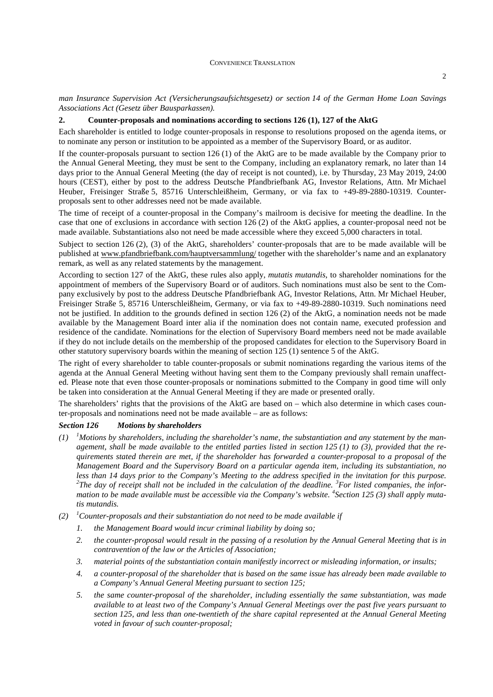*man Insurance Supervision Act (Versicherungsaufsichtsgesetz) or section 14 of the German Home Loan Savings Associations Act (Gesetz über Bausparkassen).* 

## **2. Counter-proposals and nominations according to sections 126 (1), 127 of the AktG**

Each shareholder is entitled to lodge counter-proposals in response to resolutions proposed on the agenda items, or to nominate any person or institution to be appointed as a member of the Supervisory Board, or as auditor.

If the counter-proposals pursuant to section 126 (1) of the AktG are to be made available by the Company prior to the Annual General Meeting, they must be sent to the Company, including an explanatory remark, no later than 14 days prior to the Annual General Meeting (the day of receipt is not counted), i.e. by Thursday, 23 May 2019, 24:00 hours (CEST), either by post to the address Deutsche Pfandbriefbank AG, Investor Relations, Attn. Mr Michael Heuber, Freisinger Straße 5, 85716 Unterschleißheim, Germany, or via fax to +49-89-2880-10319. Counterproposals sent to other addresses need not be made available.

The time of receipt of a counter-proposal in the Company's mailroom is decisive for meeting the deadline. In the case that one of exclusions in accordance with section 126 (2) of the AktG applies, a counter-proposal need not be made available. Substantiations also not need be made accessible where they exceed 5,000 characters in total.

Subject to section 126 (2), (3) of the AktG, shareholders' counter-proposals that are to be made available will be published at www.pfandbriefbank.com/hauptversammlung/ together with the shareholder's name and an explanatory remark, as well as any related statements by the management.

According to section 127 of the AktG, these rules also apply, *mutatis mutandis*, to shareholder nominations for the appointment of members of the Supervisory Board or of auditors. Such nominations must also be sent to the Company exclusively by post to the address Deutsche Pfandbriefbank AG, Investor Relations, Attn. Mr Michael Heuber, Freisinger Straße 5, 85716 Unterschleißheim, Germany, or via fax to +49-89-2880-10319. Such nominations need not be justified. In addition to the grounds defined in section 126 (2) of the AktG, a nomination needs not be made available by the Management Board inter alia if the nomination does not contain name, executed profession and residence of the candidate. Nominations for the election of Supervisory Board members need not be made available if they do not include details on the membership of the proposed candidates for election to the Supervisory Board in other statutory supervisory boards within the meaning of section 125 (1) sentence 5 of the AktG.

The right of every shareholder to table counter-proposals or submit nominations regarding the various items of the agenda at the Annual General Meeting without having sent them to the Company previously shall remain unaffected. Please note that even those counter-proposals or nominations submitted to the Company in good time will only be taken into consideration at the Annual General Meeting if they are made or presented orally.

The shareholders' rights that the provisions of the AktG are based on – which also determine in which cases counter-proposals and nominations need not be made available – are as follows:

### *Section 126 Motions by shareholders*

- $(1)$  <sup>1</sup>*Motions by shareholders, including the shareholder's name, the substantiation and any statement by the management, shall be made available to the entitled parties listed in section 125 (1) to (3), provided that the requirements stated therein are met, if the shareholder has forwarded a counter-proposal to a proposal of the Management Board and the Supervisory Board on a particular agenda item, including its substantiation, no less than 14 days prior to the Company's Meeting to the address specified in the invitation for this purpose.*  <sup>2</sup>The day of receipt shall not be included in the calculation of the deadline. <sup>3</sup>For listed companies, the infor*mation to be made available must be accessible via the Company's website. <sup>4</sup> Section 125 (3) shall apply mutatis mutandis.*
- *(2) <sup>1</sup>Counter-proposals and their substantiation do not need to be made available if* 
	- *1. the Management Board would incur criminal liability by doing so;*
	- *2. the counter-proposal would result in the passing of a resolution by the Annual General Meeting that is in contravention of the law or the Articles of Association;*
	- *3. material points of the substantiation contain manifestly incorrect or misleading information, or insults;*
	- *4. a counter-proposal of the shareholder that is based on the same issue has already been made available to a Company's Annual General Meeting pursuant to section 125;*
	- *5. the same counter-proposal of the shareholder, including essentially the same substantiation, was made available to at least two of the Company's Annual General Meetings over the past five years pursuant to section 125, and less than one-twentieth of the share capital represented at the Annual General Meeting voted in favour of such counter-proposal;*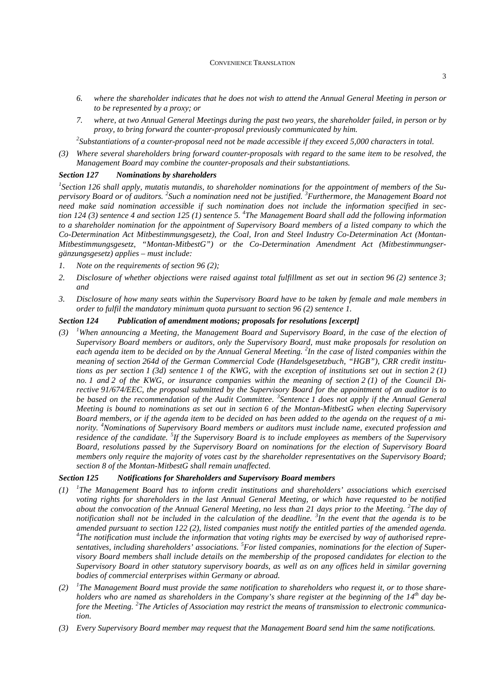#### CONVENIENCE TRANSLATION

- *6. where the shareholder indicates that he does not wish to attend the Annual General Meeting in person or to be represented by a proxy; or*
- *7. where, at two Annual General Meetings during the past two years, the shareholder failed, in person or by proxy, to bring forward the counter-proposal previously communicated by him.*

*<sup>2</sup>Substantiations of a counter-proposal need not be made accessible if they exceed 5,000 characters in total.* 

*(3) Where several shareholders bring forward counter-proposals with regard to the same item to be resolved, the Management Board may combine the counter-proposals and their substantiations.* 

## *Section 127 Nominations by shareholders*

*1 Section 126 shall apply, mutatis mutandis, to shareholder nominations for the appointment of members of the Supervisory Board or of auditors. <sup>2</sup> Such a nomination need not be justified. <sup>3</sup>Furthermore, the Management Board not need make said nomination accessible if such nomination does not include the information specified in section 124 (3) sentence 4 and section 125 (1) sentence 5. <sup>4</sup> The Management Board shall add the following information to a shareholder nomination for the appointment of Supervisory Board members of a listed company to which the Co-Determination Act Mitbestimmungsgesetz), the Coal, Iron and Steel Industry Co-Determination Act (Montan-Mitbestimmungsgesetz, "Montan-MitbestG") or the Co-Determination Amendment Act (Mitbestimmungsergänzungsgesetz) applies – must include:* 

- *1. Note on the requirements of section 96 (2);*
- *2. Disclosure of whether objections were raised against total fulfillment as set out in section 96 (2) sentence 3; and*
- *3. Disclosure of how many seats within the Supervisory Board have to be taken by female and male members in order to fulfil the mandatory minimum quota pursuant to section 96 (2) sentence 1.*

## *Section 124 Publication of amendment motions; proposals for resolutions [excerpt]*

*(3) <sup>1</sup>When announcing a Meeting, the Management Board and Supervisory Board, in the case of the election of Supervisory Board members or auditors, only the Supervisory Board, must make proposals for resolution on each agenda item to be decided on by the Annual General Meeting. <sup>2</sup> In the case of listed companies within the meaning of section 264d of the German Commercial Code (Handelsgesetzbuch, "HGB"), CRR credit institutions as per section 1 (3d) sentence 1 of the KWG, with the exception of institutions set out in section 2 (1) no. 1 and 2 of the KWG, or insurance companies within the meaning of section 2 (1) of the Council Directive 91/674/EEC, the proposal submitted by the Supervisory Board for the appointment of an auditor is to*  be based on the recommendation of the Audit Committee. <sup>3</sup> Sentence 1 does not apply if the Annual General *Meeting is bound to nominations as set out in section 6 of the Montan-MitbestG when electing Supervisory Board members, or if the agenda item to be decided on has been added to the agenda on the request of a minority. <sup>4</sup>Nominations of Supervisory Board members or auditors must include name, executed profession and residence of the candidate. <sup>5</sup> If the Supervisory Board is to include employees as members of the Supervisory Board, resolutions passed by the Supervisory Board on nominations for the election of Supervisory Board members only require the majority of votes cast by the shareholder representatives on the Supervisory Board; section 8 of the Montan-MitbestG shall remain unaffected.* 

#### *Section 125 Notifications for Shareholders and Supervisory Board members*

- *(1) <sup>1</sup> The Management Board has to inform credit institutions and shareholders' associations which exercised voting rights for shareholders in the last Annual General Meeting, or which have requested to be notified*  about the convocation of the Annual General Meeting, no less than 21 days prior to the Meeting. <sup>2</sup>The day of *notification shall not be included in the calculation of the deadline. <sup>3</sup> In the event that the agenda is to be amended pursuant to section 122 (2), listed companies must notify the entitled parties of the amended agenda. 4 The notification must include the information that voting rights may be exercised by way of authorised representatives, including shareholders' associations. <sup>5</sup>For listed companies, nominations for the election of Supervisory Board members shall include details on the membership of the proposed candidates for election to the Supervisory Board in other statutory supervisory boards, as well as on any offices held in similar governing bodies of commercial enterprises within Germany or abroad.*
- *(2) <sup>1</sup> The Management Board must provide the same notification to shareholders who request it, or to those shareholders who are named as shareholders in the Company's share register at the beginning of the 14th day before the Meeting. <sup>2</sup> The Articles of Association may restrict the means of transmission to electronic communication.*
- *(3) Every Supervisory Board member may request that the Management Board send him the same notifications.*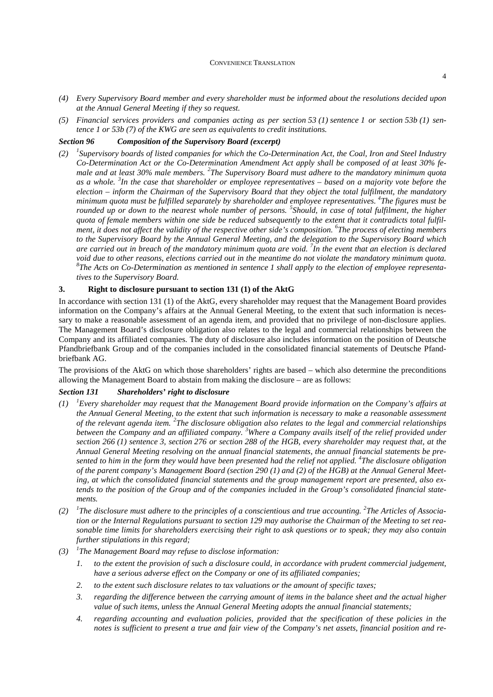4

- *(4) Every Supervisory Board member and every shareholder must be informed about the resolutions decided upon at the Annual General Meeting if they so request.*
- *(5) Financial services providers and companies acting as per section 53 (1) sentence 1 or section 53b (1) sentence 1 or 53b (7) of the KWG are seen as equivalents to credit institutions.*

## *Section 96 Composition of the Supervisory Board (excerpt)*

*(2) <sup>1</sup> Supervisory boards of listed companies for which the Co-Determination Act, the Coal, Iron and Steel Industry Co-Determination Act or the Co-Determination Amendment Act apply shall be composed of at least 30% female and at least 30% male members. <sup>2</sup> The Supervisory Board must adhere to the mandatory minimum quota as a whole. <sup>3</sup> In the case that shareholder or employee representatives – based on a majority vote before the election – inform the Chairman of the Supervisory Board that they object the total fulfilment, the mandatory minimum quota must be fulfilled separately by shareholder and employee representatives. <sup>4</sup> The figures must be rounded up or down to the nearest whole number of persons. 5 Should, in case of total fulfilment, the higher quota of female members within one side be reduced subsequently to the extent that it contradicts total fulfilment, it does not affect the validity of the respective other side's composition. <sup>6</sup> The process of electing members to the Supervisory Board by the Annual General Meeting, and the delegation to the Supervisory Board which are carried out in breach of the mandatory minimum quota are void. <sup>7</sup> In the event that an election is declared void due to other reasons, elections carried out in the meantime do not violate the mandatory minimum quota. 8 The Acts on Co-Determination as mentioned in sentence 1 shall apply to the election of employee representatives to the Supervisory Board.* 

## **3. Right to disclosure pursuant to section 131 (1) of the AktG**

In accordance with section 131 (1) of the AktG, every shareholder may request that the Management Board provides information on the Company's affairs at the Annual General Meeting, to the extent that such information is necessary to make a reasonable assessment of an agenda item, and provided that no privilege of non-disclosure applies. The Management Board's disclosure obligation also relates to the legal and commercial relationships between the Company and its affiliated companies. The duty of disclosure also includes information on the position of Deutsche Pfandbriefbank Group and of the companies included in the consolidated financial statements of Deutsche Pfandbriefbank AG.

The provisions of the AktG on which those shareholders' rights are based – which also determine the preconditions allowing the Management Board to abstain from making the disclosure – are as follows:

## *Section 131 Shareholders' right to disclosure*

- *(1) <sup>1</sup>Every shareholder may request that the Management Board provide information on the Company's affairs at the Annual General Meeting, to the extent that such information is necessary to make a reasonable assessment*  of the relevant agenda item. <sup>2</sup>The disclosure obligation also relates to the legal and commercial relationships *between the Company and an affiliated company. <sup>3</sup>Where a Company avails itself of the relief provided under section 266 (1) sentence 3, section 276 or section 288 of the HGB, every shareholder may request that, at the Annual General Meeting resolving on the annual financial statements, the annual financial statements be presented to him in the form they would have been presented had the relief not applied. <sup>4</sup> The disclosure obligation of the parent company's Management Board (section 290 (1) and (2) of the HGB) at the Annual General Meeting, at which the consolidated financial statements and the group management report are presented, also extends to the position of the Group and of the companies included in the Group's consolidated financial statements.*
- $(2)$ The disclosure must adhere to the principles of a conscientious and true accounting. <sup>2</sup>The Articles of Associa*tion or the Internal Regulations pursuant to section 129 may authorise the Chairman of the Meeting to set reasonable time limits for shareholders exercising their right to ask questions or to speak; they may also contain further stipulations in this regard;*
- *(3) <sup>1</sup> The Management Board may refuse to disclose information:* 
	- *1. to the extent the provision of such a disclosure could, in accordance with prudent commercial judgement, have a serious adverse effect on the Company or one of its affiliated companies;*
	- *2. to the extent such disclosure relates to tax valuations or the amount of specific taxes;*
	- *3. regarding the difference between the carrying amount of items in the balance sheet and the actual higher value of such items, unless the Annual General Meeting adopts the annual financial statements;*
	- *4. regarding accounting and evaluation policies, provided that the specification of these policies in the notes is sufficient to present a true and fair view of the Company's net assets, financial position and re-*